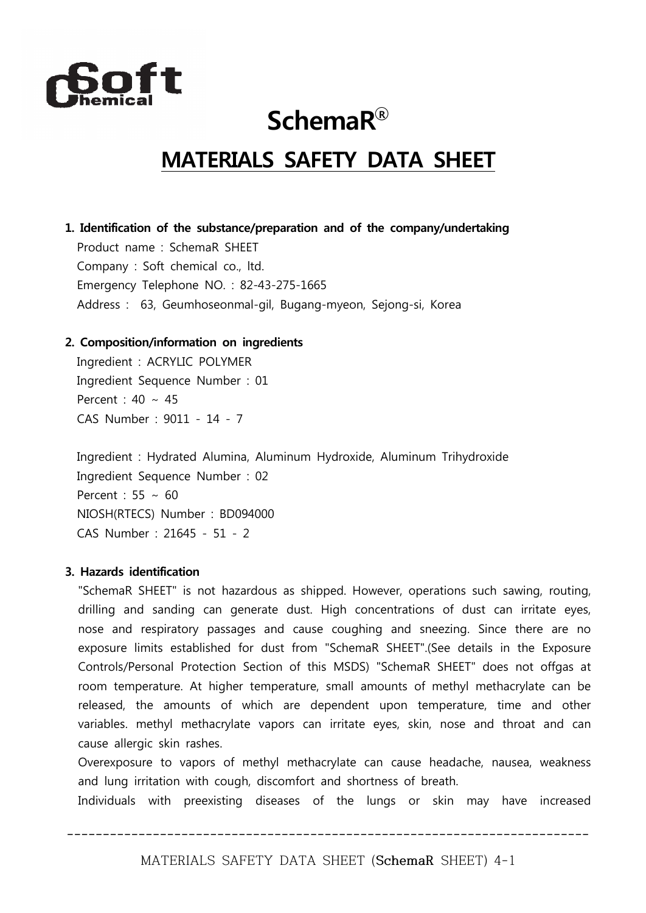

## **SchemaR◯<sup>R</sup>**

### **MATERIALS SAFETY DATA SHEET**

#### **1. Identification of the substance/preparation and of the company/undertaking**

Product name : SchemaR SHEET Company : Soft chemical co., ltd. Emergency Telephone NO. : 82-43-275-1665 Address : 63, Geumhoseonmal-gil, Bugang-myeon, Sejong-si, Korea

#### **2. Composition/information on ingredients**

Ingredient : ACRYLIC POLYMER Ingredient Sequence Number : 01 Percent : 40 ∼ 45 CAS Number : 9011 - 14 - 7

Ingredient : Hydrated Alumina, Aluminum Hydroxide, Aluminum Trihydroxide Ingredient Sequence Number : 02 Percent : 55 ∼ 60 NIOSH(RTECS) Number : BD094000 CAS Number : 21645 - 51 - 2

#### **3. Hazards identification**

"SchemaR SHEET" is not hazardous as shipped. However, operations such sawing, routing, drilling and sanding can generate dust. High concentrations of dust can irritate eyes, nose and respiratory passages and cause coughing and sneezing. Since there are no exposure limits established for dust from "SchemaR SHEET".(See details in the Exposure Controls/Personal Protection Section of this MSDS) "SchemaR SHEET" does not offgas at room temperature. At higher temperature, small amounts of methyl methacrylate can be released, the amounts of which are dependent upon temperature, time and other variables. methyl methacrylate vapors can irritate eyes, skin, nose and throat and can cause allergic skin rashes.

Overexposure to vapors of methyl methacrylate can cause headache, nausea, weakness and lung irritation with cough, discomfort and shortness of breath.

Individuals with preexisting diseases of the lungs or skin may have increased

**-------------------------------------------------------------------------**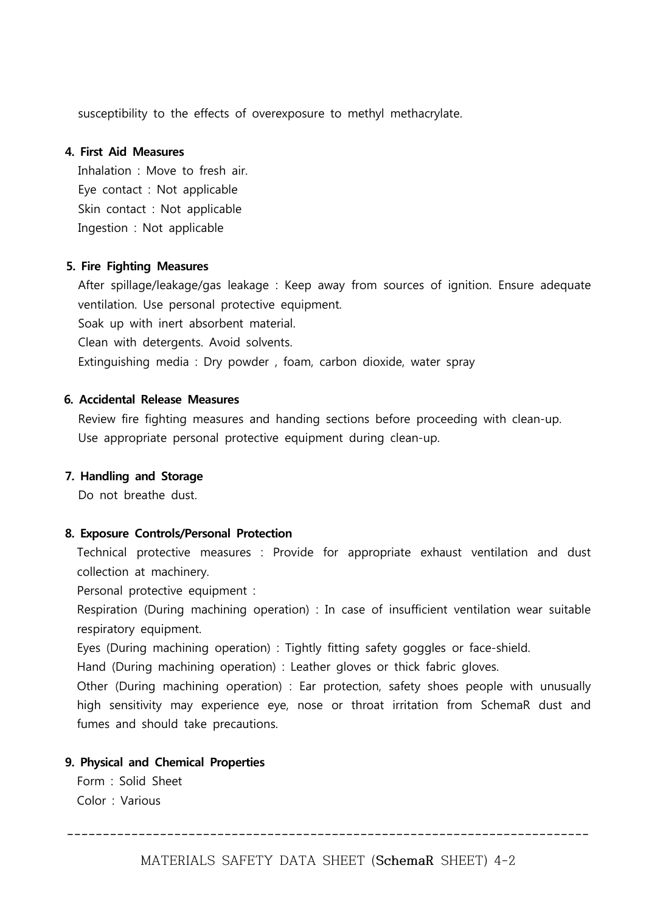susceptibility to the effects of overexposure to methyl methacrylate.

#### **4. First Aid Measures**

Inhalation : Move to fresh air. Eye contact : Not applicable Skin contact : Not applicable Ingestion : Not applicable

#### **5. Fire Fighting Measures**

After spillage/leakage/gas leakage : Keep away from sources of ignition. Ensure adequate ventilation. Use personal protective equipment. Soak up with inert absorbent material. Clean with detergents. Avoid solvents.

Extinguishing media : Dry powder , foam, carbon dioxide, water spray

#### **6. Accidental Release Measures**

Review fire fighting measures and handing sections before proceeding with clean-up. Use appropriate personal protective equipment during clean-up.

#### **7. Handling and Storage**

Do not breathe dust.

#### **8. Exposure Controls/Personal Protection**

Technical protective measures : Provide for appropriate exhaust ventilation and dust collection at machinery.

Personal protective equipment :

Respiration (During machining operation) : In case of insufficient ventilation wear suitable respiratory equipment.

Eyes (During machining operation) : Tightly fitting safety goggles or face-shield.

Hand (During machining operation) : Leather gloves or thick fabric gloves.

Other (During machining operation) : Ear protection, safety shoes people with unusually high sensitivity may experience eye, nose or throat irritation from SchemaR dust and fumes and should take precautions.

#### **9. Physical and Chemical Properties**

Form : Solid Sheet Color : Various

**-------------------------------------------------------------------------**

MATERIALS SAFETY DATA SHEET (**SchemaR** SHEET) 4-2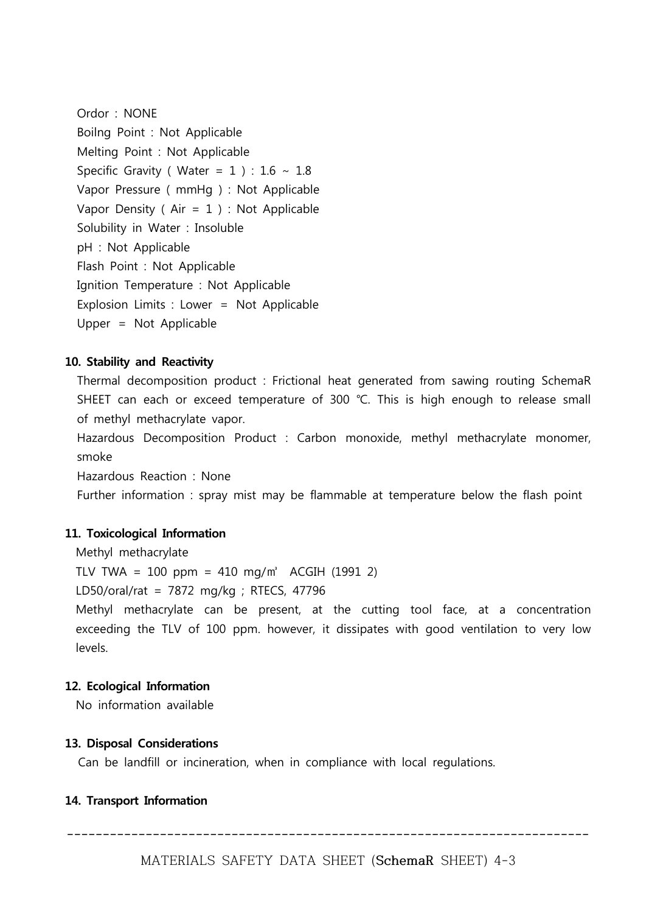Ordor : NONE Boilng Point : Not Applicable Melting Point : Not Applicable Specific Gravity ( Water =  $1$ ) : 1.6 ~ 1.8 Vapor Pressure ( mmHg ) : Not Applicable Vapor Density ( Air = 1 ) : Not Applicable Solubility in Water : Insoluble pH : Not Applicable Flash Point : Not Applicable Ignition Temperature : Not Applicable Explosion Limits : Lower = Not Applicable Upper = Not Applicable

#### **10. Stability and Reactivity**

Thermal decomposition product : Frictional heat generated from sawing routing SchemaR SHEET can each or exceed temperature of 300 ℃. This is high enough to release small of methyl methacrylate vapor.

Hazardous Decomposition Product : Carbon monoxide, methyl methacrylate monomer, smoke

Hazardous Reaction : None

Further information : spray mist may be flammable at temperature below the flash point

#### **11. Toxicological Information**

Methyl methacrylate

TLV TWA = 100 ppm = 410 mg/m<sup>3</sup> ACGIH (1991 2)

LD50/oral/rat = 7872 mg/kg ; RTECS, 47796

Methyl methacrylate can be present, at the cutting tool face, at a concentration exceeding the TLV of 100 ppm. however, it dissipates with good ventilation to very low levels.

#### **12. Ecological Information**

No information available

#### **13. Disposal Considerations**

Can be landfill or incineration, when in compliance with local regulations.

#### **14. Transport Information**

**-------------------------------------------------------------------------**

MATERIALS SAFETY DATA SHEET (**SchemaR** SHEET) 4-3